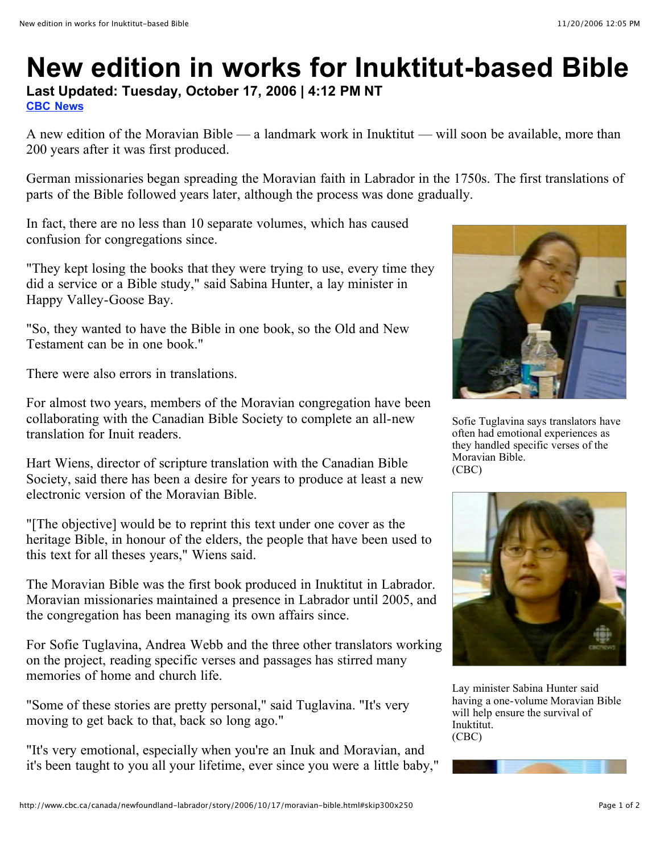## **New edition in works for Inuktitut-based Bible**

**Last Updated: Tuesday, October 17, 2006 | 4:12 PM NT CBC News**

A new edition of the Moravian Bible — a landmark work in Inuktitut — will soon be available, more than 200 years after it was first produced.

German missionaries began spreading the Moravian faith in Labrador in the 1750s. The first translations of parts of the Bible followed years later, although the process was done gradually.

In fact, there are no less than 10 separate volumes, which has caused confusion for congregations since.

"They kept losing the books that they were trying to use, every time they did a service or a Bible study," said Sabina Hunter, a lay minister in Happy Valley-Goose Bay.

"So, they wanted to have the Bible in one book, so the Old and New Testament can be in one book."

There were also errors in translations.

For almost two years, members of the Moravian congregation have been collaborating with the Canadian Bible Society to complete an all-new translation for Inuit readers.

Hart Wiens, director of scripture translation with the Canadian Bible Society, said there has been a desire for years to produce at least a new electronic version of the Moravian Bible.

"[The objective] would be to reprint this text under one cover as the heritage Bible, in honour of the elders, the people that have been used to this text for all theses years," Wiens said.

The Moravian Bible was the first book produced in Inuktitut in Labrador. Moravian missionaries maintained a presence in Labrador until 2005, and the congregation has been managing its own affairs since.

For Sofie Tuglavina, Andrea Webb and the three other translators working on the project, reading specific verses and passages has stirred many memories of home and church life.

"Some of these stories are pretty personal," said Tuglavina. "It's very moving to get back to that, back so long ago."

"It's very emotional, especially when you're an Inuk and Moravian, and it's been taught to you all your lifetime, ever since you were a little baby,"



Sofie Tuglavina says translators have often had emotional experiences as they handled specific verses of the Moravian Bible. (CBC)



Lay minister Sabina Hunter said having a one-volume Moravian Bible will help ensure the survival of Inuktitut. (CBC)